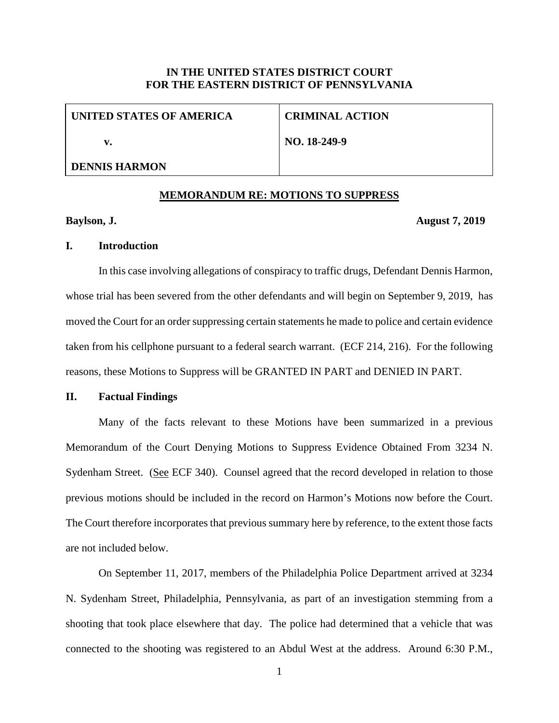### **IN THE UNITED STATES DISTRICT COURT FOR THE EASTERN DISTRICT OF PENNSYLVANIA**

| UNITED STATES OF AMERICA | <b>CRIMINAL ACTION</b> |
|--------------------------|------------------------|
| v.                       | NO. 18-249-9           |
| <b>DENNIS HARMON</b>     |                        |

#### **MEMORANDUM RE: MOTIONS TO SUPPRESS**

#### **Baylson, J. August 7, 2019**

#### **I. Introduction**

In this case involving allegations of conspiracy to traffic drugs, Defendant Dennis Harmon, whose trial has been severed from the other defendants and will begin on September 9, 2019, has moved the Court for an order suppressing certain statements he made to police and certain evidence taken from his cellphone pursuant to a federal search warrant. (ECF 214, 216). For the following reasons, these Motions to Suppress will be GRANTED IN PART and DENIED IN PART.

# **II. Factual Findings**

Many of the facts relevant to these Motions have been summarized in a previous Memorandum of the Court Denying Motions to Suppress Evidence Obtained From 3234 N. Sydenham Street. (See ECF 340). Counsel agreed that the record developed in relation to those previous motions should be included in the record on Harmon's Motions now before the Court. The Court therefore incorporates that previous summary here by reference, to the extent those facts are not included below.

On September 11, 2017, members of the Philadelphia Police Department arrived at 3234 N. Sydenham Street, Philadelphia, Pennsylvania, as part of an investigation stemming from a shooting that took place elsewhere that day. The police had determined that a vehicle that was connected to the shooting was registered to an Abdul West at the address. Around 6:30 P.M.,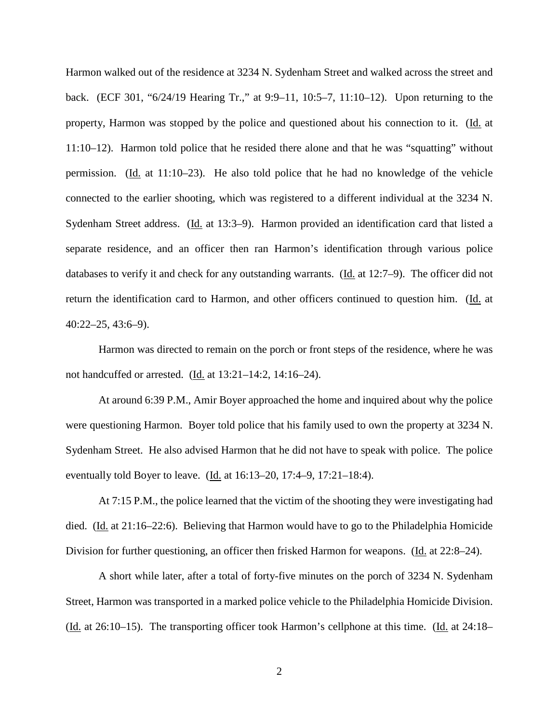Harmon walked out of the residence at 3234 N. Sydenham Street and walked across the street and back. (ECF 301, "6/24/19 Hearing Tr.," at 9:9–11, 10:5–7, 11:10–12). Upon returning to the property, Harmon was stopped by the police and questioned about his connection to it. (Id. at 11:10–12). Harmon told police that he resided there alone and that he was "squatting" without permission. (Id. at 11:10–23). He also told police that he had no knowledge of the vehicle connected to the earlier shooting, which was registered to a different individual at the 3234 N. Sydenham Street address. (Id. at 13:3–9). Harmon provided an identification card that listed a separate residence, and an officer then ran Harmon's identification through various police databases to verify it and check for any outstanding warrants. (Id. at 12:7–9). The officer did not return the identification card to Harmon, and other officers continued to question him. (Id. at 40:22–25, 43:6–9).

Harmon was directed to remain on the porch or front steps of the residence, where he was not handcuffed or arrested. (Id. at 13:21–14:2, 14:16–24).

At around 6:39 P.M., Amir Boyer approached the home and inquired about why the police were questioning Harmon. Boyer told police that his family used to own the property at 3234 N. Sydenham Street. He also advised Harmon that he did not have to speak with police. The police eventually told Boyer to leave. (Id. at 16:13–20, 17:4–9, 17:21–18:4).

At 7:15 P.M., the police learned that the victim of the shooting they were investigating had died. (Id. at 21:16–22:6). Believing that Harmon would have to go to the Philadelphia Homicide Division for further questioning, an officer then frisked Harmon for weapons. (Id. at 22:8–24).

A short while later, after a total of forty-five minutes on the porch of 3234 N. Sydenham Street, Harmon was transported in a marked police vehicle to the Philadelphia Homicide Division. (Id. at 26:10–15). The transporting officer took Harmon's cellphone at this time. (Id. at 24:18–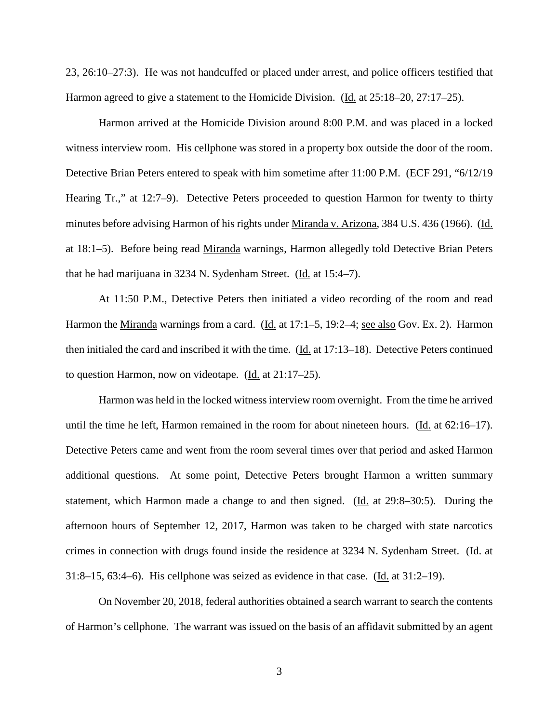23, 26:10–27:3). He was not handcuffed or placed under arrest, and police officers testified that Harmon agreed to give a statement to the Homicide Division. (Id. at 25:18–20, 27:17–25).

Harmon arrived at the Homicide Division around 8:00 P.M. and was placed in a locked witness interview room. His cellphone was stored in a property box outside the door of the room. Detective Brian Peters entered to speak with him sometime after 11:00 P.M. (ECF 291, "6/12/19 Hearing Tr.," at 12:7–9). Detective Peters proceeded to question Harmon for twenty to thirty minutes before advising Harmon of his rights under Miranda v. Arizona, 384 U.S. 436 (1966). (Id. at 18:1–5). Before being read Miranda warnings, Harmon allegedly told Detective Brian Peters that he had marijuana in 3234 N. Sydenham Street. (Id. at 15:4–7).

At 11:50 P.M., Detective Peters then initiated a video recording of the room and read Harmon the <u>Miranda</u> warnings from a card. (Id. at 17:1–5, 19:2–4; <u>see also</u> Gov. Ex. 2). Harmon then initialed the card and inscribed it with the time. (Id. at 17:13–18). Detective Peters continued to question Harmon, now on videotape. (Id. at 21:17–25).

Harmon was held in the locked witness interview room overnight. From the time he arrived until the time he left, Harmon remained in the room for about nineteen hours. ( $\underline{Id}$ , at 62:16–17). Detective Peters came and went from the room several times over that period and asked Harmon additional questions. At some point, Detective Peters brought Harmon a written summary statement, which Harmon made a change to and then signed. (Id. at 29:8–30:5). During the afternoon hours of September 12, 2017, Harmon was taken to be charged with state narcotics crimes in connection with drugs found inside the residence at 3234 N. Sydenham Street. (Id. at 31:8–15, 63:4–6). His cellphone was seized as evidence in that case. ( $\underline{Id}$ , at 31:2–19).

On November 20, 2018, federal authorities obtained a search warrant to search the contents of Harmon's cellphone. The warrant was issued on the basis of an affidavit submitted by an agent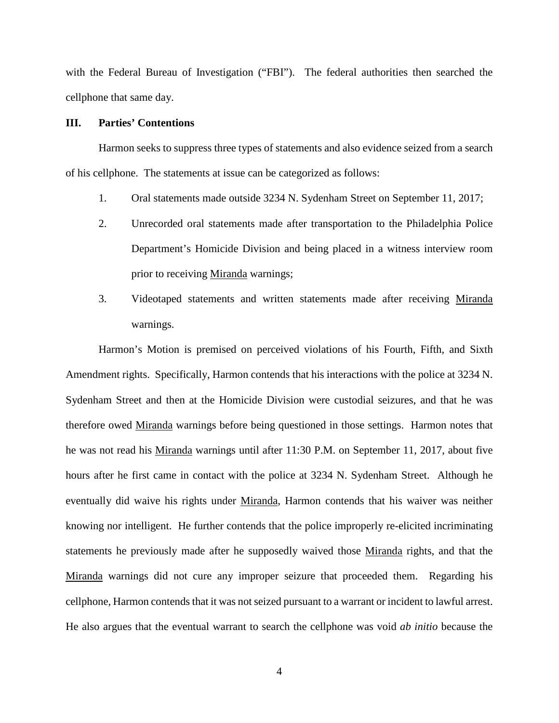with the Federal Bureau of Investigation ("FBI"). The federal authorities then searched the cellphone that same day.

#### **III. Parties' Contentions**

Harmon seeks to suppress three types of statements and also evidence seized from a search of his cellphone. The statements at issue can be categorized as follows:

- 1. Oral statements made outside 3234 N. Sydenham Street on September 11, 2017;
- 2. Unrecorded oral statements made after transportation to the Philadelphia Police Department's Homicide Division and being placed in a witness interview room prior to receiving Miranda warnings;
- 3. Videotaped statements and written statements made after receiving Miranda warnings.

Harmon's Motion is premised on perceived violations of his Fourth, Fifth, and Sixth Amendment rights. Specifically, Harmon contends that his interactions with the police at 3234 N. Sydenham Street and then at the Homicide Division were custodial seizures, and that he was therefore owed Miranda warnings before being questioned in those settings. Harmon notes that he was not read his Miranda warnings until after 11:30 P.M. on September 11, 2017, about five hours after he first came in contact with the police at 3234 N. Sydenham Street. Although he eventually did waive his rights under Miranda, Harmon contends that his waiver was neither knowing nor intelligent. He further contends that the police improperly re-elicited incriminating statements he previously made after he supposedly waived those Miranda rights, and that the Miranda warnings did not cure any improper seizure that proceeded them. Regarding his cellphone, Harmon contends that it was not seized pursuant to a warrant or incident to lawful arrest. He also argues that the eventual warrant to search the cellphone was void *ab initio* because the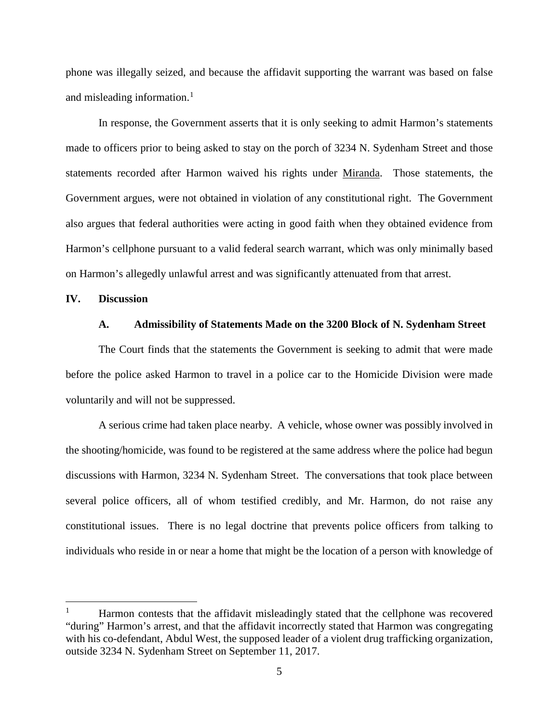phone was illegally seized, and because the affidavit supporting the warrant was based on false and misleading information. $<sup>1</sup>$  $<sup>1</sup>$  $<sup>1</sup>$ </sup>

In response, the Government asserts that it is only seeking to admit Harmon's statements made to officers prior to being asked to stay on the porch of 3234 N. Sydenham Street and those statements recorded after Harmon waived his rights under Miranda. Those statements, the Government argues, were not obtained in violation of any constitutional right. The Government also argues that federal authorities were acting in good faith when they obtained evidence from Harmon's cellphone pursuant to a valid federal search warrant, which was only minimally based on Harmon's allegedly unlawful arrest and was significantly attenuated from that arrest.

### **IV. Discussion**

#### **A. Admissibility of Statements Made on the 3200 Block of N. Sydenham Street**

The Court finds that the statements the Government is seeking to admit that were made before the police asked Harmon to travel in a police car to the Homicide Division were made voluntarily and will not be suppressed.

A serious crime had taken place nearby. A vehicle, whose owner was possibly involved in the shooting/homicide, was found to be registered at the same address where the police had begun discussions with Harmon, 3234 N. Sydenham Street. The conversations that took place between several police officers, all of whom testified credibly, and Mr. Harmon, do not raise any constitutional issues. There is no legal doctrine that prevents police officers from talking to individuals who reside in or near a home that might be the location of a person with knowledge of

<span id="page-4-0"></span>Harmon contests that the affidavit misleadingly stated that the cellphone was recovered "during" Harmon's arrest, and that the affidavit incorrectly stated that Harmon was congregating with his co-defendant, Abdul West, the supposed leader of a violent drug trafficking organization, outside 3234 N. Sydenham Street on September 11, 2017.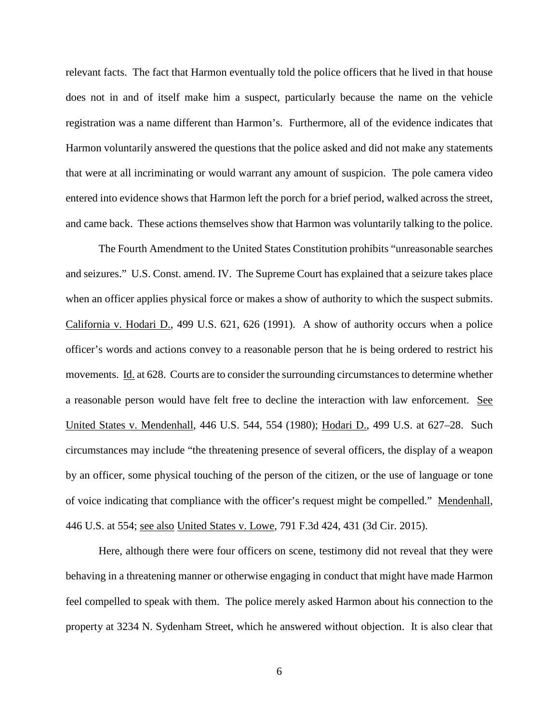relevant facts. The fact that Harmon eventually told the police officers that he lived in that house does not in and of itself make him a suspect, particularly because the name on the vehicle registration was a name different than Harmon's. Furthermore, all of the evidence indicates that Harmon voluntarily answered the questions that the police asked and did not make any statements that were at all incriminating or would warrant any amount of suspicion. The pole camera video entered into evidence shows that Harmon left the porch for a brief period, walked across the street, and came back. These actions themselves show that Harmon was voluntarily talking to the police.

The Fourth Amendment to the United States Constitution prohibits "unreasonable searches and seizures." U.S. Const. amend. IV. The Supreme Court has explained that a seizure takes place when an officer applies physical force or makes a show of authority to which the suspect submits. California v. Hodari D., 499 U.S. 621, 626 (1991). A show of authority occurs when a police officer's words and actions convey to a reasonable person that he is being ordered to restrict his movements. Id. at 628. Courts are to consider the surrounding circumstances to determine whether a reasonable person would have felt free to decline the interaction with law enforcement. See United States v. Mendenhall, 446 U.S. 544, 554 (1980); Hodari D., 499 U.S. at 627–28. Such circumstances may include "the threatening presence of several officers, the display of a weapon by an officer, some physical touching of the person of the citizen, or the use of language or tone of voice indicating that compliance with the officer's request might be compelled." Mendenhall, 446 U.S. at 554; see also United States v. Lowe, 791 F.3d 424, 431 (3d Cir. 2015).

Here, although there were four officers on scene, testimony did not reveal that they were behaving in a threatening manner or otherwise engaging in conduct that might have made Harmon feel compelled to speak with them. The police merely asked Harmon about his connection to the property at 3234 N. Sydenham Street, which he answered without objection. It is also clear that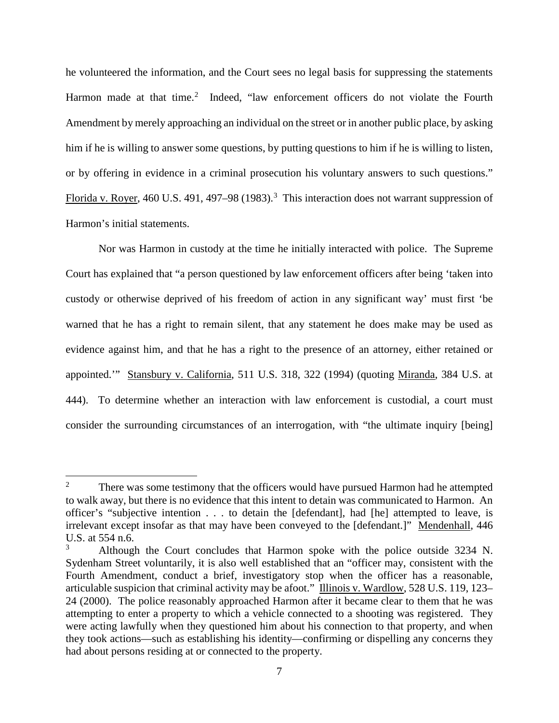he volunteered the information, and the Court sees no legal basis for suppressing the statements Harmon made at that time.<sup>[2](#page-6-0)</sup> Indeed, "law enforcement officers do not violate the Fourth Amendment by merely approaching an individual on the street or in another public place, by asking him if he is willing to answer some questions, by putting questions to him if he is willing to listen, or by offering in evidence in a criminal prosecution his voluntary answers to such questions." Florida v. Royer, 460 U.S. 491, 497–98 (198[3](#page-6-1)).<sup>3</sup> This interaction does not warrant suppression of Harmon's initial statements.

Nor was Harmon in custody at the time he initially interacted with police. The Supreme Court has explained that "a person questioned by law enforcement officers after being 'taken into custody or otherwise deprived of his freedom of action in any significant way' must first 'be warned that he has a right to remain silent, that any statement he does make may be used as evidence against him, and that he has a right to the presence of an attorney, either retained or appointed.'" Stansbury v. California, 511 U.S. 318, 322 (1994) (quoting Miranda, 384 U.S. at 444). To determine whether an interaction with law enforcement is custodial, a court must consider the surrounding circumstances of an interrogation, with "the ultimate inquiry [being]

<span id="page-6-0"></span><sup>&</sup>lt;sup>2</sup> There was some testimony that the officers would have pursued Harmon had he attempted to walk away, but there is no evidence that this intent to detain was communicated to Harmon. An officer's "subjective intention . . . to detain the [defendant], had [he] attempted to leave, is irrelevant except insofar as that may have been conveyed to the [defendant.]" Mendenhall, 446 U.S. at 554 n.6.

<span id="page-6-1"></span><sup>3</sup> Although the Court concludes that Harmon spoke with the police outside 3234 N. Sydenham Street voluntarily, it is also well established that an "officer may, consistent with the Fourth Amendment, conduct a brief, investigatory stop when the officer has a reasonable, articulable suspicion that criminal activity may be afoot." Illinois v. Wardlow, 528 U.S. 119, 123– 24 (2000). The police reasonably approached Harmon after it became clear to them that he was attempting to enter a property to which a vehicle connected to a shooting was registered. They were acting lawfully when they questioned him about his connection to that property, and when they took actions—such as establishing his identity—confirming or dispelling any concerns they had about persons residing at or connected to the property.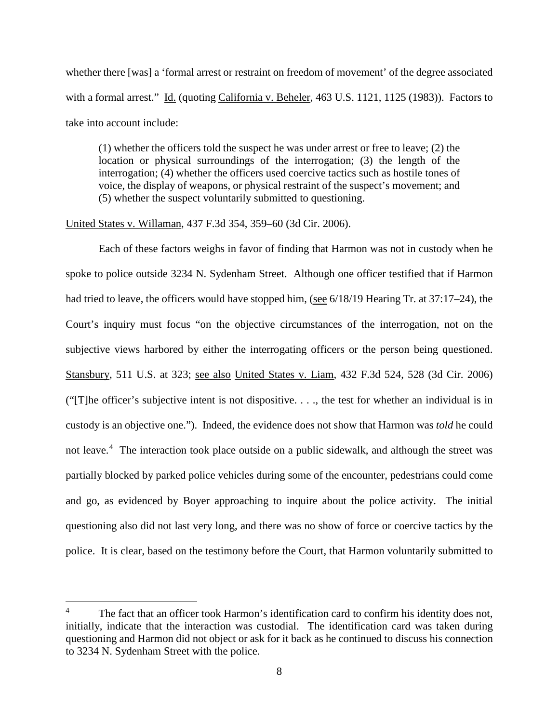whether there [was] a 'formal arrest or restraint on freedom of movement' of the degree associated with a formal arrest." Id. (quoting California v. Beheler, 463 U.S. 1121, 1125 (1983)). Factors to take into account include:

(1) whether the officers told the suspect he was under arrest or free to leave; (2) the location or physical surroundings of the interrogation; (3) the length of the interrogation; (4) whether the officers used coercive tactics such as hostile tones of voice, the display of weapons, or physical restraint of the suspect's movement; and (5) whether the suspect voluntarily submitted to questioning.

#### United States v. Willaman, 437 F.3d 354, 359–60 (3d Cir. 2006).

Each of these factors weighs in favor of finding that Harmon was not in custody when he spoke to police outside 3234 N. Sydenham Street. Although one officer testified that if Harmon had tried to leave, the officers would have stopped him, (see 6/18/19 Hearing Tr. at 37:17–24), the Court's inquiry must focus "on the objective circumstances of the interrogation, not on the subjective views harbored by either the interrogating officers or the person being questioned. Stansbury, 511 U.S. at 323; see also United States v. Liam, 432 F.3d 524, 528 (3d Cir. 2006) ("[T]he officer's subjective intent is not dispositive. . . ., the test for whether an individual is in custody is an objective one."). Indeed, the evidence does not show that Harmon was *told* he could not leave.<sup>[4](#page-7-0)</sup> The interaction took place outside on a public sidewalk, and although the street was partially blocked by parked police vehicles during some of the encounter, pedestrians could come and go, as evidenced by Boyer approaching to inquire about the police activity. The initial questioning also did not last very long, and there was no show of force or coercive tactics by the police. It is clear, based on the testimony before the Court, that Harmon voluntarily submitted to

<span id="page-7-0"></span>The fact that an officer took Harmon's identification card to confirm his identity does not, initially, indicate that the interaction was custodial. The identification card was taken during questioning and Harmon did not object or ask for it back as he continued to discuss his connection to 3234 N. Sydenham Street with the police.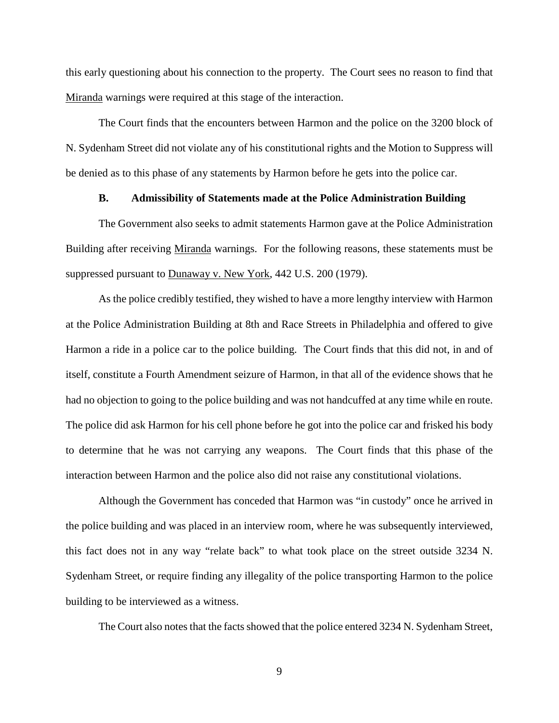this early questioning about his connection to the property. The Court sees no reason to find that Miranda warnings were required at this stage of the interaction.

The Court finds that the encounters between Harmon and the police on the 3200 block of N. Sydenham Street did not violate any of his constitutional rights and the Motion to Suppress will be denied as to this phase of any statements by Harmon before he gets into the police car.

#### **B. Admissibility of Statements made at the Police Administration Building**

The Government also seeks to admit statements Harmon gave at the Police Administration Building after receiving Miranda warnings. For the following reasons, these statements must be suppressed pursuant to Dunaway v. New York, 442 U.S. 200 (1979).

As the police credibly testified, they wished to have a more lengthy interview with Harmon at the Police Administration Building at 8th and Race Streets in Philadelphia and offered to give Harmon a ride in a police car to the police building. The Court finds that this did not, in and of itself, constitute a Fourth Amendment seizure of Harmon, in that all of the evidence shows that he had no objection to going to the police building and was not handcuffed at any time while en route. The police did ask Harmon for his cell phone before he got into the police car and frisked his body to determine that he was not carrying any weapons. The Court finds that this phase of the interaction between Harmon and the police also did not raise any constitutional violations.

Although the Government has conceded that Harmon was "in custody" once he arrived in the police building and was placed in an interview room, where he was subsequently interviewed, this fact does not in any way "relate back" to what took place on the street outside 3234 N. Sydenham Street, or require finding any illegality of the police transporting Harmon to the police building to be interviewed as a witness.

The Court also notes that the facts showed that the police entered 3234 N. Sydenham Street,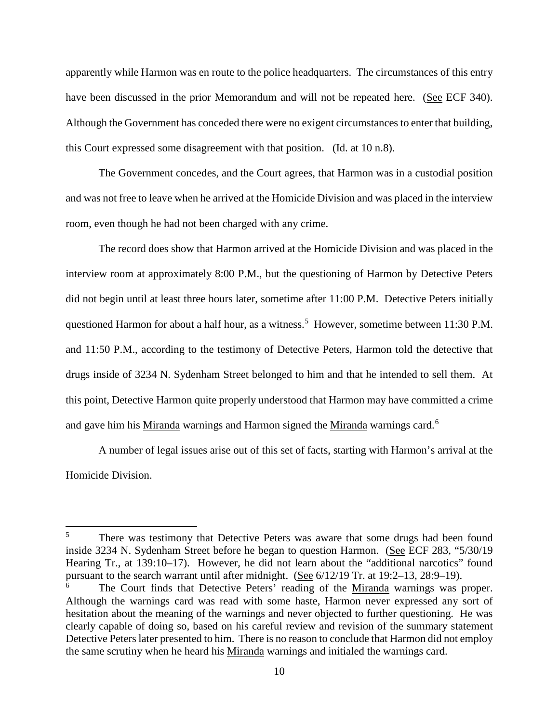apparently while Harmon was en route to the police headquarters. The circumstances of this entry have been discussed in the prior Memorandum and will not be repeated here. (See ECF 340). Although the Government has conceded there were no exigent circumstances to enter that building, this Court expressed some disagreement with that position. (Id. at 10 n.8).

The Government concedes, and the Court agrees, that Harmon was in a custodial position and was not free to leave when he arrived at the Homicide Division and was placed in the interview room, even though he had not been charged with any crime.

The record does show that Harmon arrived at the Homicide Division and was placed in the interview room at approximately 8:00 P.M., but the questioning of Harmon by Detective Peters did not begin until at least three hours later, sometime after 11:00 P.M. Detective Peters initially questioned Harmon for about a half hour, as a witness.<sup>[5](#page-9-0)</sup> However, sometime between 11:30 P.M. and 11:50 P.M., according to the testimony of Detective Peters, Harmon told the detective that drugs inside of 3234 N. Sydenham Street belonged to him and that he intended to sell them. At this point, Detective Harmon quite properly understood that Harmon may have committed a crime and gave him his *Miranda* warnings and Harmon signed the *Miranda* warnings card.<sup>[6](#page-9-1)</sup>

A number of legal issues arise out of this set of facts, starting with Harmon's arrival at the Homicide Division.

<span id="page-9-0"></span>There was testimony that Detective Peters was aware that some drugs had been found inside 3234 N. Sydenham Street before he began to question Harmon. (See ECF 283, "5/30/19 Hearing Tr., at 139:10–17). However, he did not learn about the "additional narcotics" found pursuant to the search warrant until after midnight. (See 6/12/19 Tr. at 19:2–13, 28:9–19).

<span id="page-9-1"></span>The Court finds that Detective Peters' reading of the Miranda warnings was proper. Although the warnings card was read with some haste, Harmon never expressed any sort of hesitation about the meaning of the warnings and never objected to further questioning. He was clearly capable of doing so, based on his careful review and revision of the summary statement Detective Peters later presented to him. There is no reason to conclude that Harmon did not employ the same scrutiny when he heard his Miranda warnings and initialed the warnings card.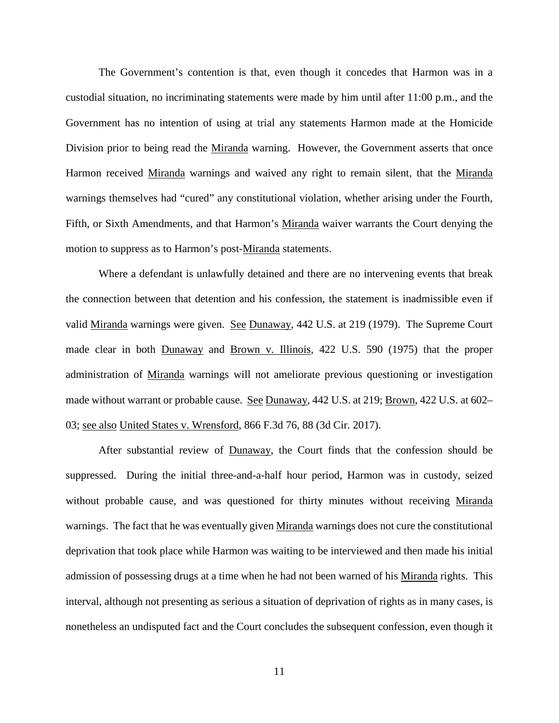The Government's contention is that, even though it concedes that Harmon was in a custodial situation, no incriminating statements were made by him until after 11:00 p.m., and the Government has no intention of using at trial any statements Harmon made at the Homicide Division prior to being read the Miranda warning. However, the Government asserts that once Harmon received Miranda warnings and waived any right to remain silent, that the Miranda warnings themselves had "cured" any constitutional violation, whether arising under the Fourth, Fifth, or Sixth Amendments, and that Harmon's Miranda waiver warrants the Court denying the motion to suppress as to Harmon's post-Miranda statements.

Where a defendant is unlawfully detained and there are no intervening events that break the connection between that detention and his confession, the statement is inadmissible even if valid Miranda warnings were given. See Dunaway, 442 U.S. at 219 (1979). The Supreme Court made clear in both Dunaway and Brown v. Illinois, 422 U.S. 590 (1975) that the proper administration of Miranda warnings will not ameliorate previous questioning or investigation made without warrant or probable cause. See Dunaway, 442 U.S. at 219; Brown, 422 U.S. at 602– 03; see also United States v. Wrensford, 866 F.3d 76, 88 (3d Cir. 2017).

After substantial review of Dunaway, the Court finds that the confession should be suppressed. During the initial three-and-a-half hour period, Harmon was in custody, seized without probable cause, and was questioned for thirty minutes without receiving Miranda warnings. The fact that he was eventually given Miranda warnings does not cure the constitutional deprivation that took place while Harmon was waiting to be interviewed and then made his initial admission of possessing drugs at a time when he had not been warned of his Miranda rights. This interval, although not presenting as serious a situation of deprivation of rights as in many cases, is nonetheless an undisputed fact and the Court concludes the subsequent confession, even though it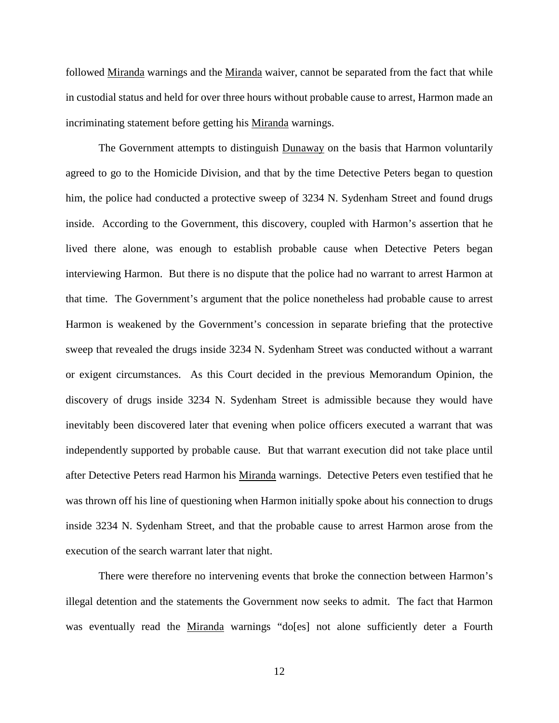followed Miranda warnings and the Miranda waiver, cannot be separated from the fact that while in custodial status and held for over three hours without probable cause to arrest, Harmon made an incriminating statement before getting his Miranda warnings.

The Government attempts to distinguish Dunaway on the basis that Harmon voluntarily agreed to go to the Homicide Division, and that by the time Detective Peters began to question him, the police had conducted a protective sweep of 3234 N. Sydenham Street and found drugs inside. According to the Government, this discovery, coupled with Harmon's assertion that he lived there alone, was enough to establish probable cause when Detective Peters began interviewing Harmon. But there is no dispute that the police had no warrant to arrest Harmon at that time. The Government's argument that the police nonetheless had probable cause to arrest Harmon is weakened by the Government's concession in separate briefing that the protective sweep that revealed the drugs inside 3234 N. Sydenham Street was conducted without a warrant or exigent circumstances. As this Court decided in the previous Memorandum Opinion, the discovery of drugs inside 3234 N. Sydenham Street is admissible because they would have inevitably been discovered later that evening when police officers executed a warrant that was independently supported by probable cause. But that warrant execution did not take place until after Detective Peters read Harmon his Miranda warnings. Detective Peters even testified that he was thrown off his line of questioning when Harmon initially spoke about his connection to drugs inside 3234 N. Sydenham Street, and that the probable cause to arrest Harmon arose from the execution of the search warrant later that night.

There were therefore no intervening events that broke the connection between Harmon's illegal detention and the statements the Government now seeks to admit. The fact that Harmon was eventually read the Miranda warnings "do[es] not alone sufficiently deter a Fourth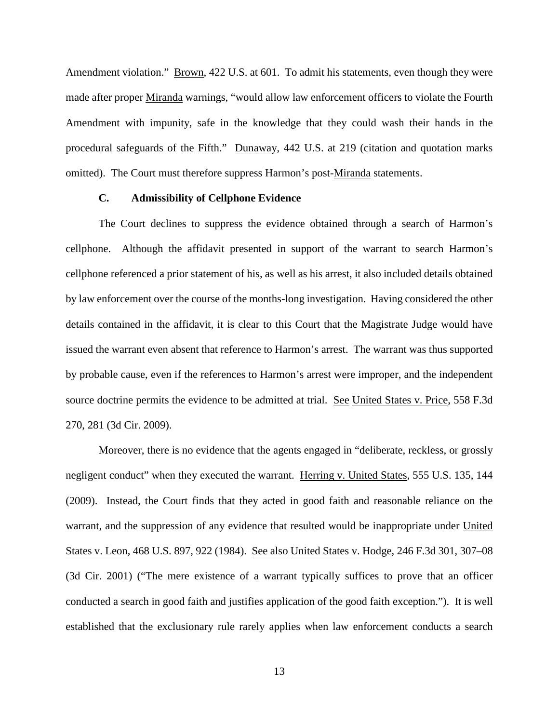Amendment violation." Brown, 422 U.S. at 601. To admit his statements, even though they were made after proper Miranda warnings, "would allow law enforcement officers to violate the Fourth Amendment with impunity, safe in the knowledge that they could wash their hands in the procedural safeguards of the Fifth." Dunaway, 442 U.S. at 219 (citation and quotation marks omitted). The Court must therefore suppress Harmon's post-Miranda statements.

#### **C. Admissibility of Cellphone Evidence**

The Court declines to suppress the evidence obtained through a search of Harmon's cellphone. Although the affidavit presented in support of the warrant to search Harmon's cellphone referenced a prior statement of his, as well as his arrest, it also included details obtained by law enforcement over the course of the months-long investigation. Having considered the other details contained in the affidavit, it is clear to this Court that the Magistrate Judge would have issued the warrant even absent that reference to Harmon's arrest. The warrant was thus supported by probable cause, even if the references to Harmon's arrest were improper, and the independent source doctrine permits the evidence to be admitted at trial. See United States v. Price, 558 F.3d 270, 281 (3d Cir. 2009).

Moreover, there is no evidence that the agents engaged in "deliberate, reckless, or grossly negligent conduct" when they executed the warrant. Herring v. United States, 555 U.S. 135, 144 (2009). Instead, the Court finds that they acted in good faith and reasonable reliance on the warrant, and the suppression of any evidence that resulted would be inappropriate under United States v. Leon, 468 U.S. 897, 922 (1984). See also United States v. Hodge, 246 F.3d 301, 307–08 (3d Cir. 2001) ("The mere existence of a warrant typically suffices to prove that an officer conducted a search in good faith and justifies application of the good faith exception."). It is well established that the exclusionary rule rarely applies when law enforcement conducts a search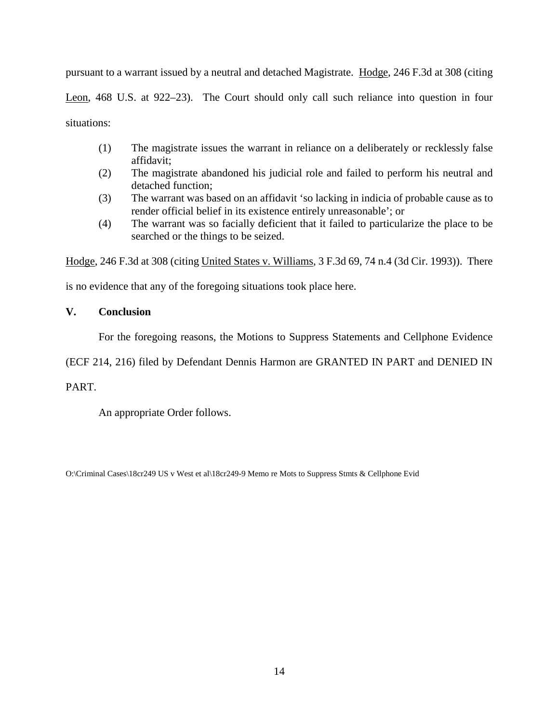pursuant to a warrant issued by a neutral and detached Magistrate. Hodge, 246 F.3d at 308 (citing Leon, 468 U.S. at 922–23). The Court should only call such reliance into question in four situations:

- (1) The magistrate issues the warrant in reliance on a deliberately or recklessly false affidavit;
- (2) The magistrate abandoned his judicial role and failed to perform his neutral and detached function;
- (3) The warrant was based on an affidavit 'so lacking in indicia of probable cause as to render official belief in its existence entirely unreasonable'; or
- (4) The warrant was so facially deficient that it failed to particularize the place to be searched or the things to be seized.

Hodge, 246 F.3d at 308 (citing United States v. Williams, 3 F.3d 69, 74 n.4 (3d Cir. 1993)). There

is no evidence that any of the foregoing situations took place here.

# **V. Conclusion**

For the foregoing reasons, the Motions to Suppress Statements and Cellphone Evidence

(ECF 214, 216) filed by Defendant Dennis Harmon are GRANTED IN PART and DENIED IN

# PART.

An appropriate Order follows.

O:\Criminal Cases\18cr249 US v West et al\18cr249-9 Memo re Mots to Suppress Stmts & Cellphone Evid